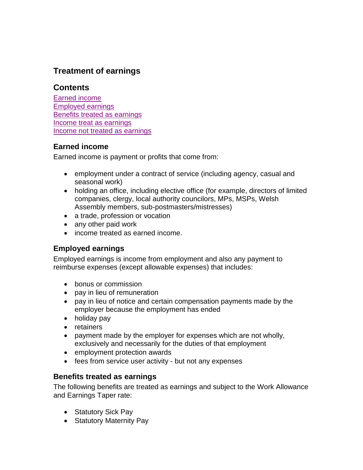# **Treatment of earnings**

## **Contents**

[Earned income](#page-0-0) [Employed earnings](#page-0-1) [Benefits treated as earnings](#page-0-2) Income [treat as earnings](#page-1-0) [Income not treated as earnings](#page-3-0)

## <span id="page-0-0"></span>**Earned income**

Earned income is payment or profits that come from:

- employment under a contract of service (including agency, casual and seasonal work)
- holding an office, including elective office (for example, directors of limited companies, clergy, local authority councilors, MPs, MSPs, Welsh Assembly members, sub-postmasters/mistresses)
- a trade, profession or vocation
- any other paid work
- income treated as earned income.

## <span id="page-0-1"></span>**Employed earnings**

Employed earnings is income from employment and also any payment to reimburse expenses (except allowable expenses) that includes:

- bonus or commission
- pay in lieu of remuneration
- pay in lieu of notice and certain compensation payments made by the employer because the employment has ended
- holiday pay
- retainers
- payment made by the employer for expenses which are not wholly, exclusively and necessarily for the duties of that employment
- employment protection awards
- fees from service user activity but not any expenses

## <span id="page-0-2"></span>**Benefits treated as earnings**

The following benefits are treated as earnings and subject to the Work Allowance and Earnings Taper rate:

- Statutory Sick Pay
- Statutory Maternity Pay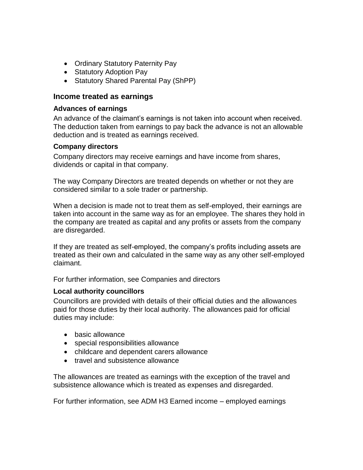- Ordinary Statutory Paternity Pay
- Statutory Adoption Pay
- Statutory Shared Parental Pay (ShPP)

## <span id="page-1-0"></span>**Income treated as earnings**

#### **Advances of earnings**

An advance of the claimant's earnings is not taken into account when received. The deduction taken from earnings to pay back the advance is not an allowable deduction and is treated as earnings received.

#### **Company directors**

Company directors may receive earnings and have income from shares, dividends or capital in that company.

The way Company Directors are treated depends on whether or not they are considered similar to a sole trader or partnership.

When a decision is made not to treat them as self-employed, their earnings are taken into account in the same way as for an employee. The shares they hold in the company are treated as capital and any profits or assets from the company are disregarded.

If they are treated as self-employed, the company's profits including assets are treated as their own and calculated in the same way as any other self-employed claimant.

For further information, see Companies and directors

## **Local authority councillors**

Councillors are provided with details of their official duties and the allowances paid for those duties by their local authority. The allowances paid for official duties may include:

- basic allowance
- special responsibilities allowance
- childcare and dependent carers allowance
- travel and subsistence allowance

The allowances are treated as earnings with the exception of the travel and subsistence allowance which is treated as expenses and disregarded.

For further information, see ADM H3 Earned income – employed earnings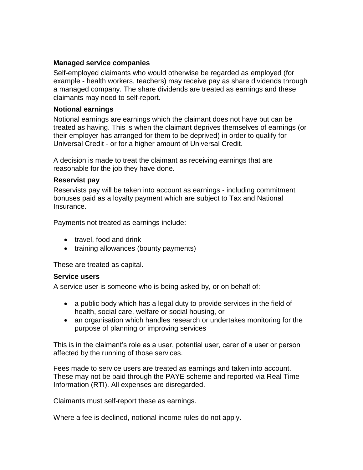## **Managed service companies**

Self-employed claimants who would otherwise be regarded as employed (for example - health workers, teachers) may receive pay as share dividends through a managed company. The share dividends are treated as earnings and these claimants may need to self-report.

#### **Notional earnings**

Notional earnings are earnings which the claimant does not have but can be treated as having. This is when the claimant deprives themselves of earnings (or their employer has arranged for them to be deprived) in order to qualify for Universal Credit - or for a higher amount of Universal Credit.

A decision is made to treat the claimant as receiving earnings that are reasonable for the job they have done.

#### **Reservist pay**

Reservists pay will be taken into account as earnings - including commitment bonuses paid as a loyalty payment which are subject to Tax and National Insurance.

Payments not treated as earnings include:

- travel, food and drink
- training allowances (bounty payments)

These are treated as capital.

#### **Service users**

A service user is someone who is being asked by, or on behalf of:

- a public body which has a legal duty to provide services in the field of health, social care, welfare or social housing, or
- an organisation which handles research or undertakes monitoring for the purpose of planning or improving services

This is in the claimant's role as a user, potential user, carer of a user or person affected by the running of those services.

Fees made to service users are treated as earnings and taken into account. These may not be paid through the PAYE scheme and reported via Real Time Information (RTI). All expenses are disregarded.

Claimants must self-report these as earnings.

Where a fee is declined, notional income rules do not apply.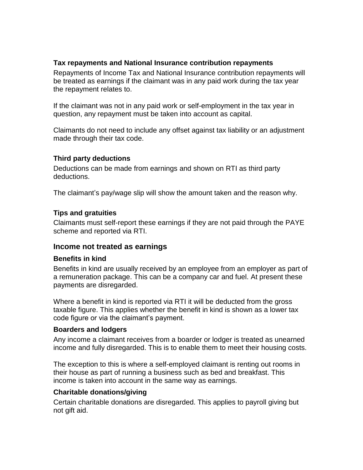## **Tax repayments and National Insurance contribution repayments**

Repayments of Income Tax and National Insurance contribution repayments will be treated as earnings if the claimant was in any paid work during the tax year the repayment relates to.

If the claimant was not in any paid work or self-employment in the tax year in question, any repayment must be taken into account as capital.

Claimants do not need to include any offset against tax liability or an adjustment made through their tax code.

## **Third party deductions**

Deductions can be made from earnings and shown on RTI as third party deductions.

The claimant's pay/wage slip will show the amount taken and the reason why.

## **Tips and gratuities**

Claimants must self-report these earnings if they are not paid through the PAYE scheme and reported via RTI.

## <span id="page-3-0"></span>**Income not treated as earnings**

## **Benefits in kind**

Benefits in kind are usually received by an employee from an employer as part of a remuneration package. This can be a company car and fuel. At present these payments are disregarded.

Where a benefit in kind is reported via RTI it will be deducted from the gross taxable figure. This applies whether the benefit in kind is shown as a lower tax code figure or via the claimant's payment.

## **Boarders and lodgers**

Any income a claimant receives from a boarder or lodger is treated as unearned income and fully disregarded. This is to enable them to meet their housing costs.

The exception to this is where a self-employed claimant is renting out rooms in their house as part of running a business such as bed and breakfast. This income is taken into account in the same way as earnings.

## **Charitable donations/giving**

Certain charitable donations are disregarded. This applies to payroll giving but not gift aid.